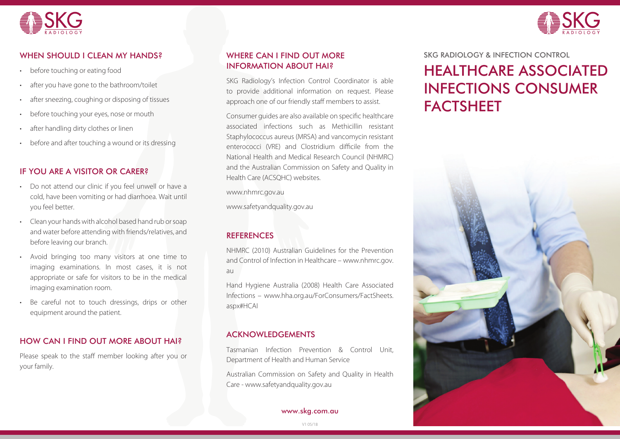



# WHEN SHOULD I CLEAN MY HANDS?

- before touching or eating food
- after you have gone to the bathroom/toilet
- after sneezing, coughing or disposing of tissues
- before touching your eyes, nose or mouth
- after handling dirty clothes or linen
- before and after touching a wound or its dressing

### IF YOU ARE A VISITOR OR CARER?

- Do not attend our clinic if you feel unwell or have a cold, have been vomiting or had diarrhoea. Wait until you feel better.
- Clean your hands with alcohol based hand rub or soap and water before attending with friends/relatives, and before leaving our branch.
- Avoid bringing too many visitors at one time to imaging examinations. In most cases, it is not appropriate or safe for visitors to be in the medical imaging examination room.
- Be careful not to touch dressings, drips or other equipment around the patient.

## HOW CAN I FIND OUT MORE ABOUT HAI?

Please speak to the staff member looking after you or your family.

## WHERE CAN I FIND OUT MORE INFORMATION ABOUT HAI?

SKG Radiology's Infection Control Coordinator is able to provide additional information on request. Please approach one of our friendly staff members to assist.

Consumer quides are also available on specific healthcare associated infections such as Methicillin resistant Staphylococcus aureus (MRSA) and vancomycin resistant enterococci (VRE) and Clostridium difficile from the National Health and Medical Research Council (NHMRC) and the Australian Commission on Safety and Quality in Health Care (ACSQHC) websites.

www.nhmrc.gov.au

www.safetyandquality.gov.au

## **REFERENCES**

NHMRC (2010) Australian Guidelines for the Prevention and Control of Infection in Healthcare – www.nhmrc.gov. au

Hand Hygiene Australia (2008) Health Care Associated Infections – www.hha.org.au/ForConsumers/FactSheets. aspx#HCAI

## ACKNOWLEDGEMENTS

Tasmanian Infection Prevention & Control Unit, Department of Health and Human Service

Australian Commission on Safety and Quality in Health Care - www.safetyandquality.gov.au

www.skg.com.au

#### SKG RADIOLOGY & INFECTION CONTROL

# HEALTHCARE ASSOCIATED INFECTIONS CONSUMER **FACTSHEET**